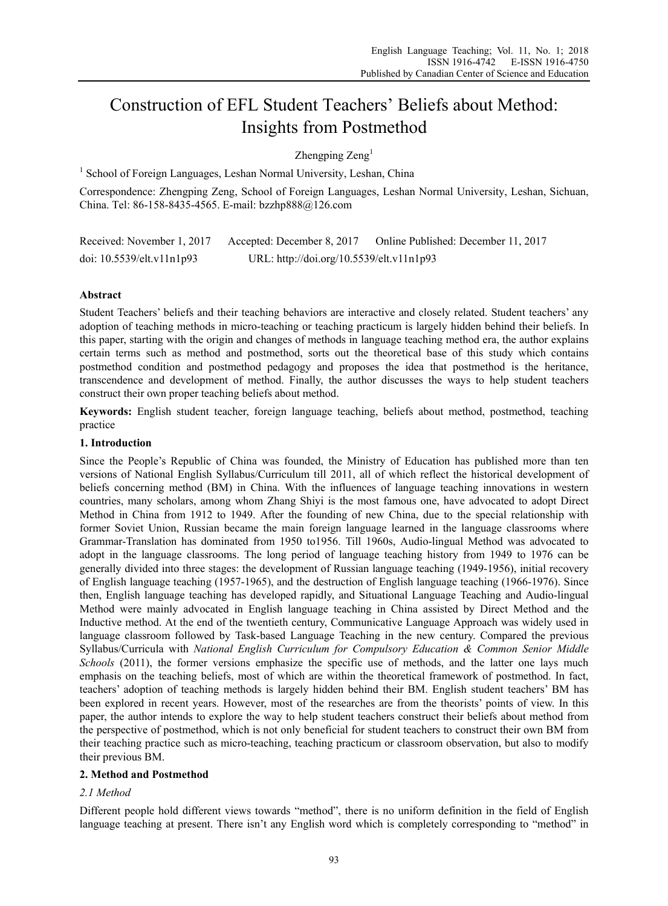# Construction of EFL Student Teachers' Beliefs about Method: Insights from Postmethod

Zhengping  $\text{Zeng}^1$ 

<sup>1</sup> School of Foreign Languages, Leshan Normal University, Leshan, China

Correspondence: Zhengping Zeng, School of Foreign Languages, Leshan Normal University, Leshan, Sichuan, China. Tel: 86-158-8435-4565. E-mail: bzzhp888@126.com

| Received: November 1, 2017      | Accepted: December 8, 2017               | Online Published: December 11, 2017 |
|---------------------------------|------------------------------------------|-------------------------------------|
| doi: $10.5539$ /elt.v $11n1p93$ | URL: http://doi.org/10.5539/elt.v11n1p93 |                                     |

## **Abstract**

Student Teachers' beliefs and their teaching behaviors are interactive and closely related. Student teachers' any adoption of teaching methods in micro-teaching or teaching practicum is largely hidden behind their beliefs. In this paper, starting with the origin and changes of methods in language teaching method era, the author explains certain terms such as method and postmethod, sorts out the theoretical base of this study which contains postmethod condition and postmethod pedagogy and proposes the idea that postmethod is the heritance, transcendence and development of method. Finally, the author discusses the ways to help student teachers construct their own proper teaching beliefs about method.

**Keywords:** English student teacher, foreign language teaching, beliefs about method, postmethod, teaching practice

## **1. Introduction**

Since the People's Republic of China was founded, the Ministry of Education has published more than ten versions of National English Syllabus/Curriculum till 2011, all of which reflect the historical development of beliefs concerning method (BM) in China. With the influences of language teaching innovations in western countries, many scholars, among whom Zhang Shiyi is the most famous one, have advocated to adopt Direct Method in China from 1912 to 1949. After the founding of new China, due to the special relationship with former Soviet Union, Russian became the main foreign language learned in the language classrooms where Grammar-Translation has dominated from 1950 to1956. Till 1960s, Audio-lingual Method was advocated to adopt in the language classrooms. The long period of language teaching history from 1949 to 1976 can be generally divided into three stages: the development of Russian language teaching (1949-1956), initial recovery of English language teaching (1957-1965), and the destruction of English language teaching (1966-1976). Since then, English language teaching has developed rapidly, and Situational Language Teaching and Audio-lingual Method were mainly advocated in English language teaching in China assisted by Direct Method and the Inductive method. At the end of the twentieth century, Communicative Language Approach was widely used in language classroom followed by Task-based Language Teaching in the new century. Compared the previous Syllabus/Curricula with *National English Curriculum for Compulsory Education & Common Senior Middle Schools* (2011), the former versions emphasize the specific use of methods, and the latter one lays much emphasis on the teaching beliefs, most of which are within the theoretical framework of postmethod. In fact, teachers' adoption of teaching methods is largely hidden behind their BM. English student teachers' BM has been explored in recent years. However, most of the researches are from the theorists' points of view. In this paper, the author intends to explore the way to help student teachers construct their beliefs about method from the perspective of postmethod, which is not only beneficial for student teachers to construct their own BM from their teaching practice such as micro-teaching, teaching practicum or classroom observation, but also to modify their previous BM.

## **2. Method and Postmethod**

# *2.1 Method*

Different people hold different views towards "method", there is no uniform definition in the field of English language teaching at present. There isn't any English word which is completely corresponding to "method" in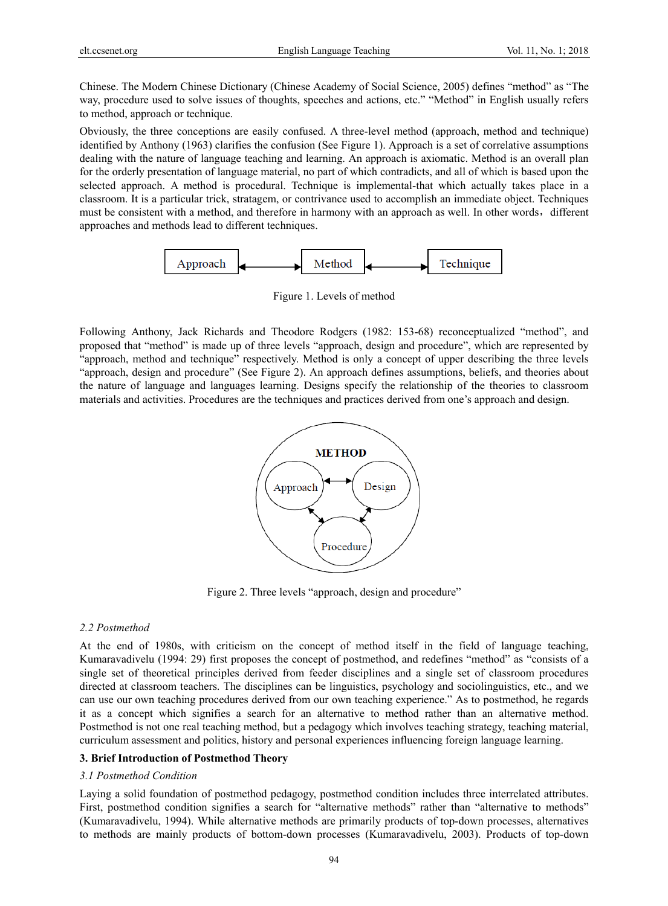Chinese. The Modern Chinese Dictionary (Chinese Academy of Social Science, 2005) defines "method" as "The way, procedure used to solve issues of thoughts, speeches and actions, etc." "Method" in English usually refers to method, approach or technique.

Obviously, the three conceptions are easily confused. A three-level method (approach, method and technique) identified by Anthony (1963) clarifies the confusion (See Figure 1). Approach is a set of correlative assumptions dealing with the nature of language teaching and learning. An approach is axiomatic. Method is an overall plan for the orderly presentation of language material, no part of which contradicts, and all of which is based upon the selected approach. A method is procedural. Technique is implemental-that which actually takes place in a classroom. It is a particular trick, stratagem, or contrivance used to accomplish an immediate object. Techniques must be consistent with a method, and therefore in harmony with an approach as well. In other words, different approaches and methods lead to different techniques.



Figure 1. Levels of method

Following Anthony, Jack Richards and Theodore Rodgers (1982: 153-68) reconceptualized "method", and proposed that "method" is made up of three levels "approach, design and procedure", which are represented by "approach, method and technique" respectively. Method is only a concept of upper describing the three levels "approach, design and procedure" (See Figure 2). An approach defines assumptions, beliefs, and theories about the nature of language and languages learning. Designs specify the relationship of the theories to classroom materials and activities. Procedures are the techniques and practices derived from one's approach and design.



Figure 2. Three levels "approach, design and procedure"

## *2.2 Postmethod*

At the end of 1980s, with criticism on the concept of method itself in the field of language teaching, Kumaravadivelu (1994: 29) first proposes the concept of postmethod, and redefines "method" as "consists of a single set of theoretical principles derived from feeder disciplines and a single set of classroom procedures directed at classroom teachers. The disciplines can be linguistics, psychology and sociolinguistics, etc., and we can use our own teaching procedures derived from our own teaching experience." As to postmethod, he regards it as a concept which signifies a search for an alternative to method rather than an alternative method. Postmethod is not one real teaching method, but a pedagogy which involves teaching strategy, teaching material, curriculum assessment and politics, history and personal experiences influencing foreign language learning.

## **3. Brief Introduction of Postmethod Theory**

## *3.1 Postmethod Condition*

Laying a solid foundation of postmethod pedagogy, postmethod condition includes three interrelated attributes. First, postmethod condition signifies a search for "alternative methods" rather than "alternative to methods" (Kumaravadivelu, 1994). While alternative methods are primarily products of top-down processes, alternatives to methods are mainly products of bottom-down processes (Kumaravadivelu, 2003). Products of top-down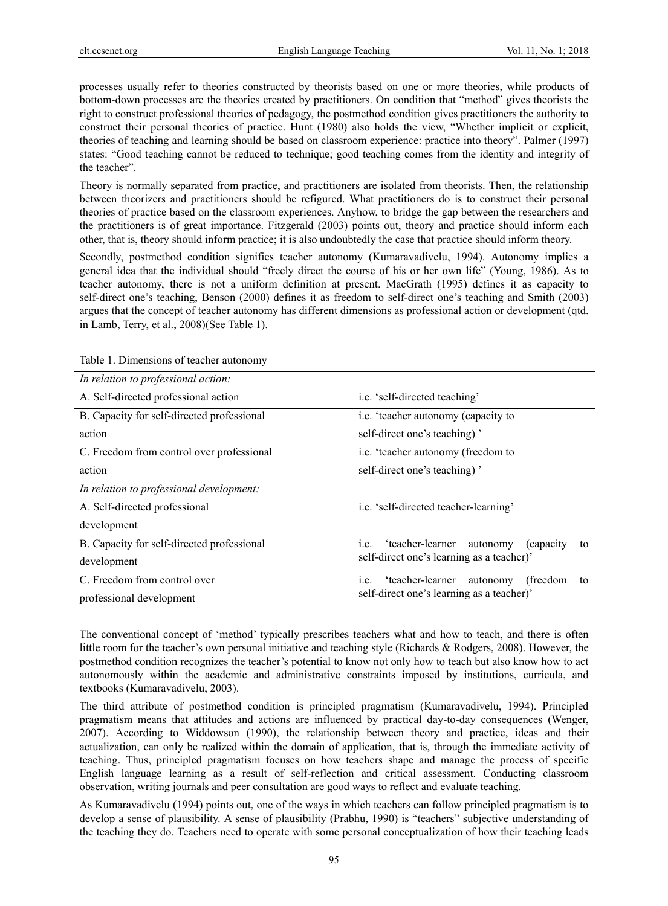processes usually refer to theories constructed by theorists based on one or more theories, while products of bottom-down processes are the theories created by practitioners. On condition that "method" gives theorists the right to construct professional theories of pedagogy, the postmethod condition gives practitioners the authority to construct their personal theories of practice. Hunt (1980) also holds the view, "Whether implicit or explicit, theories of teaching and learning should be based on classroom experience: practice into theory". Palmer (1997) states: "Good teaching cannot be reduced to technique; good teaching comes from the identity and integrity of the teacher".

Theory is normally separated from practice, and practitioners are isolated from theorists. Then, the relationship between theorizers and practitioners should be refigured. What practitioners do is to construct their personal theories of practice based on the classroom experiences. Anyhow, to bridge the gap between the researchers and the practitioners is of great importance. Fitzgerald (2003) points out, theory and practice should inform each other, that is, theory should inform practice; it is also undoubtedly the case that practice should inform theory.

Secondly, postmethod condition signifies teacher autonomy (Kumaravadivelu, 1994). Autonomy implies a general idea that the individual should "freely direct the course of his or her own life" (Young, 1986). As to teacher autonomy, there is not a uniform definition at present. MacGrath (1995) defines it as capacity to self-direct one's teaching, Benson (2000) defines it as freedom to self-direct one's teaching and Smith (2003) argues that the concept of teacher autonomy has different dimensions as professional action or development (qtd. in Lamb, Terry, et al., 2008)(See Table 1).

| In relation to professional action:        |                                                                                                      |  |
|--------------------------------------------|------------------------------------------------------------------------------------------------------|--|
| A. Self-directed professional action       | i.e. 'self-directed teaching'                                                                        |  |
| B. Capacity for self-directed professional | i.e. 'teacher autonomy (capacity to                                                                  |  |
| action                                     | self-direct one's teaching)'                                                                         |  |
| C. Freedom from control over professional  | i.e. 'teacher autonomy (freedom to                                                                   |  |
| action                                     | self-direct one's teaching)'                                                                         |  |
| In relation to professional development:   |                                                                                                      |  |
| A. Self-directed professional              | i.e. 'self-directed teacher-learning'                                                                |  |
| development                                |                                                                                                      |  |
| B. Capacity for self-directed professional | 'teacher-learner<br><i>(capacity)</i><br>autonomy<br>1.e.<br>to                                      |  |
| development                                | self-direct one's learning as a teacher)'                                                            |  |
| C. Freedom from control over               | 'teacher-learner<br>(freedom)<br>autonomy<br>i.e.<br>to<br>self-direct one's learning as a teacher)' |  |
| professional development                   |                                                                                                      |  |

Table 1. Dimensions of teacher autonomy

The conventional concept of 'method' typically prescribes teachers what and how to teach, and there is often little room for the teacher's own personal initiative and teaching style (Richards & Rodgers, 2008). However, the postmethod condition recognizes the teacher's potential to know not only how to teach but also know how to act autonomously within the academic and administrative constraints imposed by institutions, curricula, and textbooks (Kumaravadivelu, 2003).

The third attribute of postmethod condition is principled pragmatism (Kumaravadivelu, 1994). Principled pragmatism means that attitudes and actions are influenced by practical day-to-day consequences (Wenger, 2007). According to Widdowson (1990), the relationship between theory and practice, ideas and their actualization, can only be realized within the domain of application, that is, through the immediate activity of teaching. Thus, principled pragmatism focuses on how teachers shape and manage the process of specific English language learning as a result of self-reflection and critical assessment. Conducting classroom observation, writing journals and peer consultation are good ways to reflect and evaluate teaching.

As Kumaravadivelu (1994) points out, one of the ways in which teachers can follow principled pragmatism is to develop a sense of plausibility. A sense of plausibility (Prabhu, 1990) is "teachers" subjective understanding of the teaching they do. Teachers need to operate with some personal conceptualization of how their teaching leads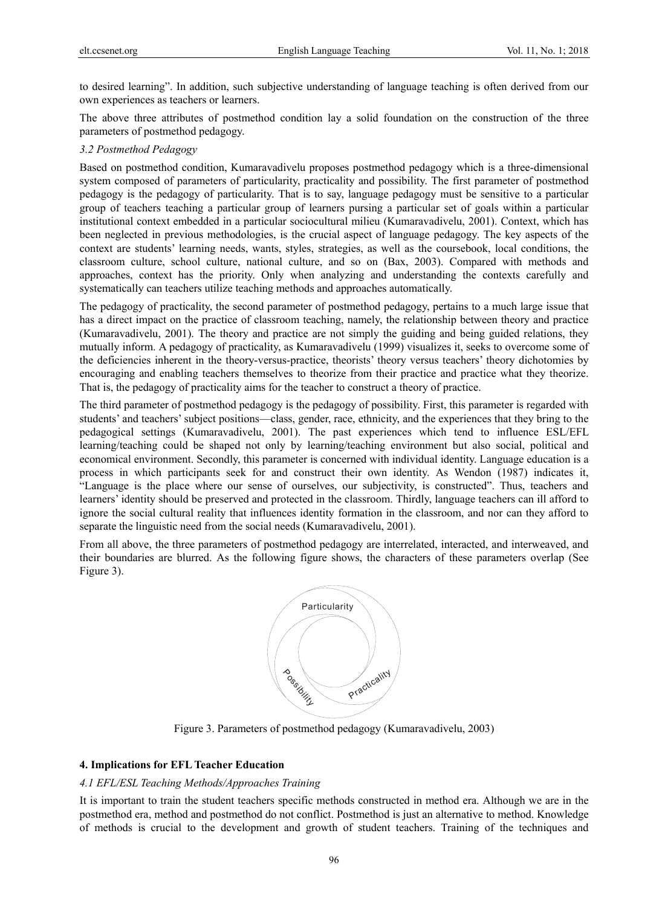to desired learning". In addition, such subjective understanding of language teaching is often derived from our own experiences as teachers or learners.

The above three attributes of postmethod condition lay a solid foundation on the construction of the three parameters of postmethod pedagogy.

## *3.2 Postmethod Pedagogy*

Based on postmethod condition, Kumaravadivelu proposes postmethod pedagogy which is a three-dimensional system composed of parameters of particularity, practicality and possibility. The first parameter of postmethod pedagogy is the pedagogy of particularity. That is to say, language pedagogy must be sensitive to a particular group of teachers teaching a particular group of learners pursing a particular set of goals within a particular institutional context embedded in a particular sociocultural milieu (Kumaravadivelu, 2001). Context, which has been neglected in previous methodologies, is the crucial aspect of language pedagogy. The key aspects of the context are students' learning needs, wants, styles, strategies, as well as the coursebook, local conditions, the classroom culture, school culture, national culture, and so on (Bax, 2003). Compared with methods and approaches, context has the priority. Only when analyzing and understanding the contexts carefully and systematically can teachers utilize teaching methods and approaches automatically.

The pedagogy of practicality, the second parameter of postmethod pedagogy, pertains to a much large issue that has a direct impact on the practice of classroom teaching, namely, the relationship between theory and practice (Kumaravadivelu, 2001). The theory and practice are not simply the guiding and being guided relations, they mutually inform. A pedagogy of practicality, as Kumaravadivelu (1999) visualizes it, seeks to overcome some of the deficiencies inherent in the theory-versus-practice, theorists' theory versus teachers' theory dichotomies by encouraging and enabling teachers themselves to theorize from their practice and practice what they theorize. That is, the pedagogy of practicality aims for the teacher to construct a theory of practice.

The third parameter of postmethod pedagogy is the pedagogy of possibility. First, this parameter is regarded with students' and teachers' subject positions—class, gender, race, ethnicity, and the experiences that they bring to the pedagogical settings (Kumaravadivelu, 2001). The past experiences which tend to influence ESL/EFL learning/teaching could be shaped not only by learning/teaching environment but also social, political and economical environment. Secondly, this parameter is concerned with individual identity. Language education is a process in which participants seek for and construct their own identity. As Wendon (1987) indicates it, "Language is the place where our sense of ourselves, our subjectivity, is constructed". Thus, teachers and learners' identity should be preserved and protected in the classroom. Thirdly, language teachers can ill afford to ignore the social cultural reality that influences identity formation in the classroom, and nor can they afford to separate the linguistic need from the social needs (Kumaravadivelu, 2001).

From all above, the three parameters of postmethod pedagogy are interrelated, interacted, and interweaved, and their boundaries are blurred. As the following figure shows, the characters of these parameters overlap (See Figure 3).



Figure 3. Parameters of postmethod pedagogy (Kumaravadivelu, 2003)

#### **4. Implications for EFL Teacher Education**

#### *4.1 EFL/ESL Teaching Methods/Approaches Training*

It is important to train the student teachers specific methods constructed in method era. Although we are in the postmethod era, method and postmethod do not conflict. Postmethod is just an alternative to method. Knowledge of methods is crucial to the development and growth of student teachers. Training of the techniques and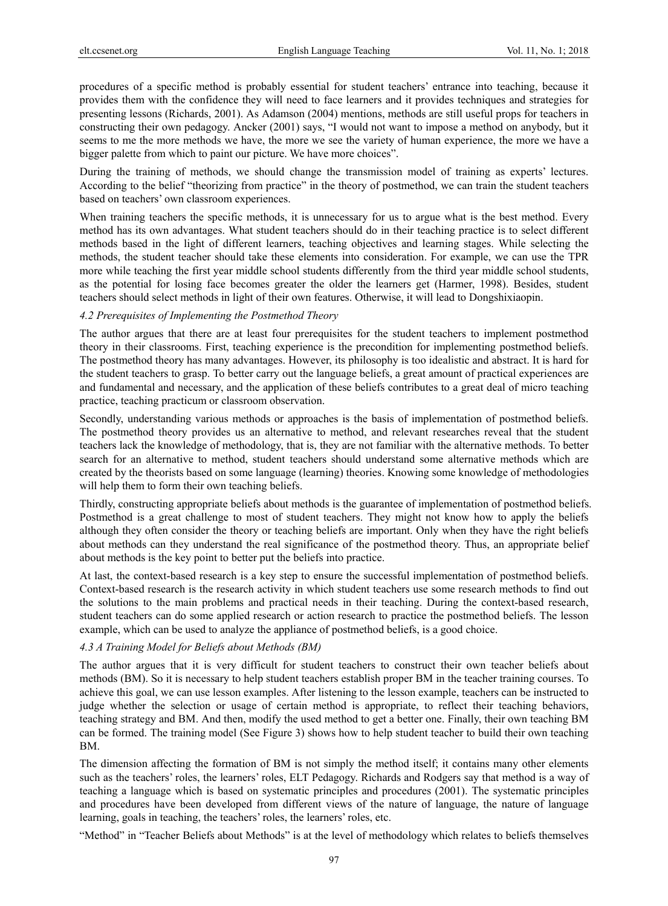procedures of a specific method is probably essential for student teachers' entrance into teaching, because it provides them with the confidence they will need to face learners and it provides techniques and strategies for presenting lessons (Richards, 2001). As Adamson (2004) mentions, methods are still useful props for teachers in constructing their own pedagogy. Ancker (2001) says, "I would not want to impose a method on anybody, but it seems to me the more methods we have, the more we see the variety of human experience, the more we have a bigger palette from which to paint our picture. We have more choices".

During the training of methods, we should change the transmission model of training as experts' lectures. According to the belief "theorizing from practice" in the theory of postmethod, we can train the student teachers based on teachers' own classroom experiences.

When training teachers the specific methods, it is unnecessary for us to argue what is the best method. Every method has its own advantages. What student teachers should do in their teaching practice is to select different methods based in the light of different learners, teaching objectives and learning stages. While selecting the methods, the student teacher should take these elements into consideration. For example, we can use the TPR more while teaching the first year middle school students differently from the third year middle school students, as the potential for losing face becomes greater the older the learners get (Harmer, 1998). Besides, student teachers should select methods in light of their own features. Otherwise, it will lead to Dongshixiaopin.

# *4.2 Prerequisites of Implementing the Postmethod Theory*

The author argues that there are at least four prerequisites for the student teachers to implement postmethod theory in their classrooms. First, teaching experience is the precondition for implementing postmethod beliefs. The postmethod theory has many advantages. However, its philosophy is too idealistic and abstract. It is hard for the student teachers to grasp. To better carry out the language beliefs, a great amount of practical experiences are and fundamental and necessary, and the application of these beliefs contributes to a great deal of micro teaching practice, teaching practicum or classroom observation.

Secondly, understanding various methods or approaches is the basis of implementation of postmethod beliefs. The postmethod theory provides us an alternative to method, and relevant researches reveal that the student teachers lack the knowledge of methodology, that is, they are not familiar with the alternative methods. To better search for an alternative to method, student teachers should understand some alternative methods which are created by the theorists based on some language (learning) theories. Knowing some knowledge of methodologies will help them to form their own teaching beliefs.

Thirdly, constructing appropriate beliefs about methods is the guarantee of implementation of postmethod beliefs. Postmethod is a great challenge to most of student teachers. They might not know how to apply the beliefs although they often consider the theory or teaching beliefs are important. Only when they have the right beliefs about methods can they understand the real significance of the postmethod theory. Thus, an appropriate belief about methods is the key point to better put the beliefs into practice.

At last, the context-based research is a key step to ensure the successful implementation of postmethod beliefs. Context-based research is the research activity in which student teachers use some research methods to find out the solutions to the main problems and practical needs in their teaching. During the context-based research, student teachers can do some applied research or action research to practice the postmethod beliefs. The lesson example, which can be used to analyze the appliance of postmethod beliefs, is a good choice.

## *4.3 A Training Model for Beliefs about Methods (BM)*

The author argues that it is very difficult for student teachers to construct their own teacher beliefs about methods (BM). So it is necessary to help student teachers establish proper BM in the teacher training courses. To achieve this goal, we can use lesson examples. After listening to the lesson example, teachers can be instructed to judge whether the selection or usage of certain method is appropriate, to reflect their teaching behaviors, teaching strategy and BM. And then, modify the used method to get a better one. Finally, their own teaching BM can be formed. The training model (See Figure 3) shows how to help student teacher to build their own teaching BM.

The dimension affecting the formation of BM is not simply the method itself; it contains many other elements such as the teachers' roles, the learners' roles, ELT Pedagogy. Richards and Rodgers say that method is a way of teaching a language which is based on systematic principles and procedures (2001). The systematic principles and procedures have been developed from different views of the nature of language, the nature of language learning, goals in teaching, the teachers' roles, the learners' roles, etc.

"Method" in "Teacher Beliefs about Methods" is at the level of methodology which relates to beliefs themselves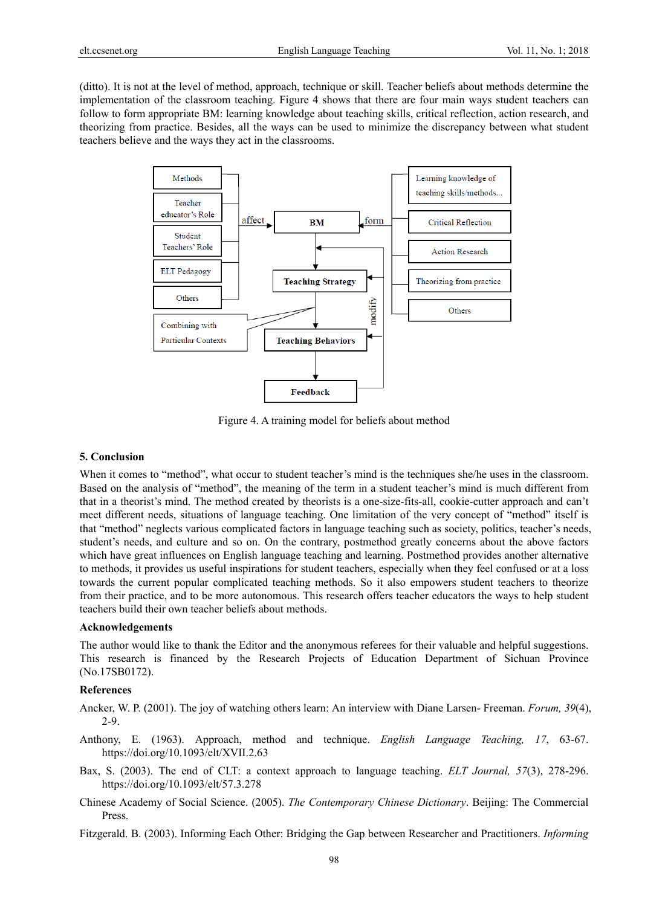(ditto). It is not at the level of method, approach, technique or skill. Teacher beliefs about methods determine the implementation of the classroom teaching. Figure 4 shows that there are four main ways student teachers can follow to form appropriate BM: learning knowledge about teaching skills, critical reflection, action research, and theorizing from practice. Besides, all the ways can be used to minimize the discrepancy between what student teachers believe and the ways they act in the classrooms.



Figure 4. A training model for beliefs about method

#### **5. Conclusion**

When it comes to "method", what occur to student teacher's mind is the techniques she/he uses in the classroom. Based on the analysis of "method", the meaning of the term in a student teacher's mind is much different from that in a theorist's mind. The method created by theorists is a one-size-fits-all, cookie-cutter approach and can't meet different needs, situations of language teaching. One limitation of the very concept of "method" itself is that "method" neglects various complicated factors in language teaching such as society, politics, teacher's needs, student's needs, and culture and so on. On the contrary, postmethod greatly concerns about the above factors which have great influences on English language teaching and learning. Postmethod provides another alternative to methods, it provides us useful inspirations for student teachers, especially when they feel confused or at a loss towards the current popular complicated teaching methods. So it also empowers student teachers to theorize from their practice, and to be more autonomous. This research offers teacher educators the ways to help student teachers build their own teacher beliefs about methods.

#### **Acknowledgements**

The author would like to thank the Editor and the anonymous referees for their valuable and helpful suggestions. This research is financed by the Research Projects of Education Department of Sichuan Province (No.17SB0172).

## **References**

Ancker, W. P. (2001). The joy of watching others learn: An interview with Diane Larsen- Freeman. *Forum, 39*(4), 2-9.

- Anthony, E. (1963). Approach, method and technique. *English Language Teaching, 17*, 63-67. https://doi.org/10.1093/elt/XVII.2.63
- Bax, S. (2003). The end of CLT: a context approach to language teaching. *ELT Journal, 57*(3), 278-296. https://doi.org/10.1093/elt/57.3.278
- Chinese Academy of Social Science. (2005). *The Contemporary Chinese Dictionary*. Beijing: The Commercial Press.

Fitzgerald. B. (2003). Informing Each Other: Bridging the Gap between Researcher and Practitioners. *Informing*